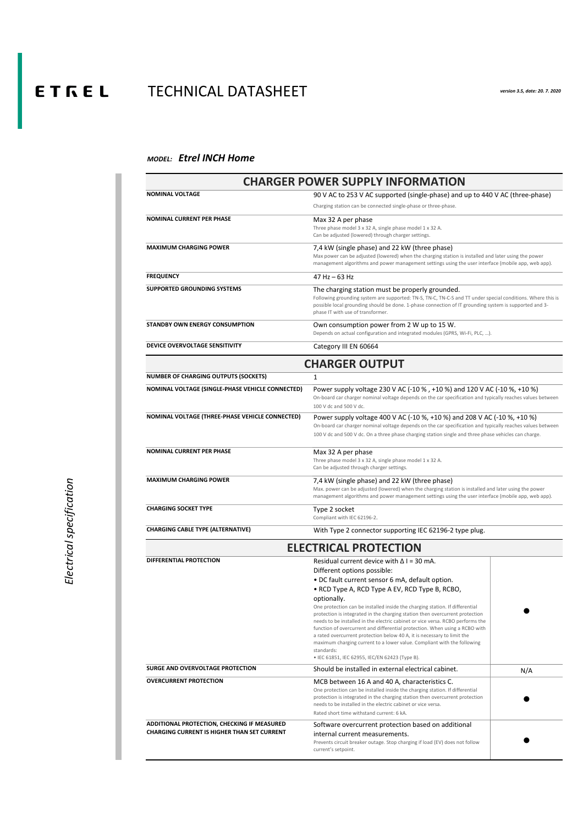## E T  $F \in L$  TECHNICAL DATASHEET *version 3.5, date: 20. 7. 2020*

## *MODEL: Etrel INCH Home*

|                                                                                                   | <b>CHARGER POWER SUPPLY INFORMATION</b>                                                                                                                                                                                                                                                                                                                                                                                                                                                                                                                                                                                                                                                                |     |
|---------------------------------------------------------------------------------------------------|--------------------------------------------------------------------------------------------------------------------------------------------------------------------------------------------------------------------------------------------------------------------------------------------------------------------------------------------------------------------------------------------------------------------------------------------------------------------------------------------------------------------------------------------------------------------------------------------------------------------------------------------------------------------------------------------------------|-----|
| <b>NOMINAL VOLTAGE</b>                                                                            | 90 V AC to 253 V AC supported (single-phase) and up to 440 V AC (three-phase)                                                                                                                                                                                                                                                                                                                                                                                                                                                                                                                                                                                                                          |     |
|                                                                                                   | Charging station can be connected single-phase or three-phase.                                                                                                                                                                                                                                                                                                                                                                                                                                                                                                                                                                                                                                         |     |
| <b>NOMINAL CURRENT PER PHASE</b>                                                                  | Max 32 A per phase<br>Three phase model 3 x 32 A, single phase model 1 x 32 A.<br>Can be adjusted (lowered) through charger settings.                                                                                                                                                                                                                                                                                                                                                                                                                                                                                                                                                                  |     |
| <b>MAXIMUM CHARGING POWER</b>                                                                     | 7,4 kW (single phase) and 22 kW (three phase)<br>Max power can be adjusted (lowered) when the charging station is installed and later using the power<br>management algorithms and power management settings using the user interface (mobile app, web app).                                                                                                                                                                                                                                                                                                                                                                                                                                           |     |
| <b>FREQUENCY</b>                                                                                  | $47$ Hz $-63$ Hz                                                                                                                                                                                                                                                                                                                                                                                                                                                                                                                                                                                                                                                                                       |     |
| <b>SUPPORTED GROUNDING SYSTEMS</b>                                                                | The charging station must be properly grounded.<br>Following grounding system are supported: TN-S, TN-C, TN-C-S and TT under special conditions. Where this is<br>possible local grounding should be done. 1-phase connection of IT grounding system is supported and 3-<br>phase IT with use of transformer.                                                                                                                                                                                                                                                                                                                                                                                          |     |
| <b>STANDBY OWN ENERGY CONSUMPTION</b>                                                             | Own consumption power from 2 W up to 15 W.<br>Depends on actual configuration and integrated modules (GPRS, Wi-Fi, PLC, ).                                                                                                                                                                                                                                                                                                                                                                                                                                                                                                                                                                             |     |
| DEVICE OVERVOLTAGE SENSITIVITY                                                                    | Category III EN 60664                                                                                                                                                                                                                                                                                                                                                                                                                                                                                                                                                                                                                                                                                  |     |
|                                                                                                   | <b>CHARGER OUTPUT</b>                                                                                                                                                                                                                                                                                                                                                                                                                                                                                                                                                                                                                                                                                  |     |
| <b>NUMBER OF CHARGING OUTPUTS (SOCKETS)</b>                                                       |                                                                                                                                                                                                                                                                                                                                                                                                                                                                                                                                                                                                                                                                                                        |     |
| <b>NOMINAL VOLTAGE (SINGLE-PHASE VEHICLE CONNECTED)</b>                                           | Power supply voltage 230 V AC (-10 %, +10 %) and 120 V AC (-10 %, +10 %)<br>On-board car charger nominal voltage depends on the car specification and typically reaches values between<br>100 V dc and 500 V dc.                                                                                                                                                                                                                                                                                                                                                                                                                                                                                       |     |
| <b>NOMINAL VOLTAGE (THREE-PHASE VEHICLE CONNECTED)</b>                                            | Power supply voltage 400 V AC (-10 %, +10 %) and 208 V AC (-10 %, +10 %)<br>On-board car charger nominal voltage depends on the car specification and typically reaches values between<br>100 V dc and 500 V dc. On a three phase charging station single and three phase vehicles can charge.                                                                                                                                                                                                                                                                                                                                                                                                         |     |
| <b>NOMINAL CURRENT PER PHASE</b>                                                                  | Max 32 A per phase<br>Three phase model 3 x 32 A, single phase model 1 x 32 A.<br>Can be adjusted through charger settings.                                                                                                                                                                                                                                                                                                                                                                                                                                                                                                                                                                            |     |
| <b>MAXIMUM CHARGING POWER</b>                                                                     | 7,4 kW (single phase) and 22 kW (three phase)<br>Max. power can be adjusted (lowered) when the charging station is installed and later using the power<br>management algorithms and power management settings using the user interface (mobile app, web app).                                                                                                                                                                                                                                                                                                                                                                                                                                          |     |
| <b>CHARGING SOCKET TYPE</b>                                                                       | Type 2 socket<br>Compliant with IEC 62196-2.                                                                                                                                                                                                                                                                                                                                                                                                                                                                                                                                                                                                                                                           |     |
| <b>CHARGING CABLE TYPE (ALTERNATIVE)</b>                                                          | With Type 2 connector supporting IEC 62196-2 type plug.                                                                                                                                                                                                                                                                                                                                                                                                                                                                                                                                                                                                                                                |     |
|                                                                                                   | <b>ELECTRICAL PROTECTION</b>                                                                                                                                                                                                                                                                                                                                                                                                                                                                                                                                                                                                                                                                           |     |
| <b>DIFFERENTIAL PROTECTION</b>                                                                    | Residual current device with $\Delta$ I = 30 mA.                                                                                                                                                                                                                                                                                                                                                                                                                                                                                                                                                                                                                                                       |     |
|                                                                                                   | Different options possible:<br>• DC fault current sensor 6 mA, default option.<br>• RCD Type A, RCD Type A EV, RCD Type B, RCBO,<br>optionally.<br>One protection can be installed inside the charging station. If differential<br>protection is integrated in the charging station then overcurrent protection<br>needs to be installed in the electric cabinet or vice versa. RCBO performs the<br>function of overcurrent and differential protection. When using a RCBO with<br>a rated overcurrent protection below 40 A, it is necessary to limit the<br>maximum charging current to a lower value. Compliant with the following<br>standards:<br>• IEC 61851, IEC 62955, IEC/EN 62423 (Type B). |     |
| <b>SURGE AND OVERVOLTAGE PROTECTION</b>                                                           | Should be installed in external electrical cabinet.                                                                                                                                                                                                                                                                                                                                                                                                                                                                                                                                                                                                                                                    | N/A |
| <b>OVERCURRENT PROTECTION</b>                                                                     | MCB between 16 A and 40 A, characteristics C.<br>One protection can be installed inside the charging station. If differential<br>protection is integrated in the charging station then overcurrent protection<br>needs to be installed in the electric cabinet or vice versa.<br>Rated short time withstand current: 6 kA.                                                                                                                                                                                                                                                                                                                                                                             |     |
| ADDITIONAL PROTECTION, CHECKING IF MEASURED<br><b>CHARGING CURRENT IS HIGHER THAN SET CURRENT</b> | Software overcurrent protection based on additional<br>internal current measurements.<br>Prevents circuit breaker outage. Stop charging if load (EV) does not follow<br>current's setpoint.                                                                                                                                                                                                                                                                                                                                                                                                                                                                                                            |     |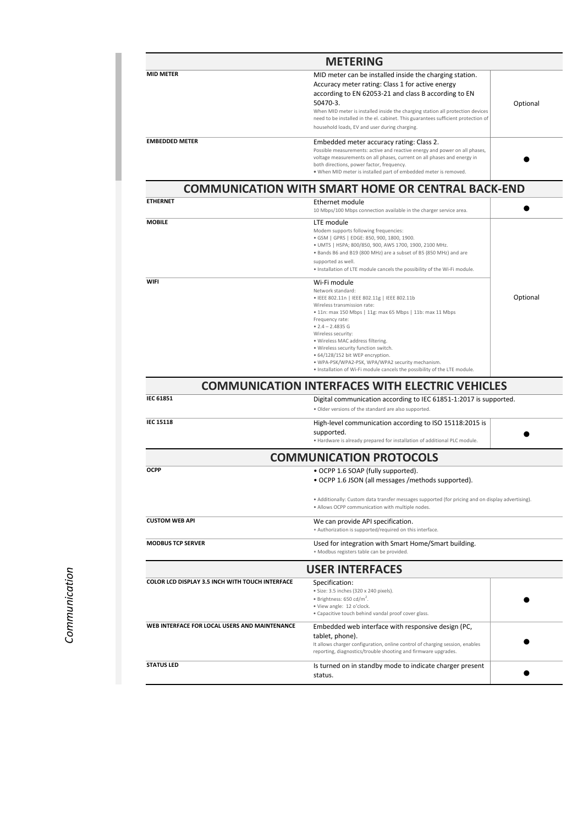| <b>METERING</b>       |                                                                                                                                                                                                                                                                                                                                                        |          |
|-----------------------|--------------------------------------------------------------------------------------------------------------------------------------------------------------------------------------------------------------------------------------------------------------------------------------------------------------------------------------------------------|----------|
| <b>MID METER</b>      | MID meter can be installed inside the charging station.<br>Accuracy meter rating: Class 1 for active energy<br>according to EN 62053-21 and class B according to EN<br>50470-3.<br>When MID meter is installed inside the charging station all protection devices<br>need to be installed in the el. cabinet. This guarantees sufficient protection of | Optional |
|                       | household loads, EV and user during charging.                                                                                                                                                                                                                                                                                                          |          |
| <b>EMBEDDED METER</b> | Embedded meter accuracy rating: Class 2.<br>Possible measurements: active and reactive energy and power on all phases,<br>voltage measurements on all phases, current on all phases and energy in<br>both directions, power factor, frequency.<br>. When MID meter is installed part of embedded meter is removed.                                     |          |

**IEC 61851**

| <b>ETHERNET</b> | Ethernet module                                                           |          |
|-----------------|---------------------------------------------------------------------------|----------|
|                 | 10 Mbps/100 Mbps connection available in the charger service area.        |          |
| <b>MOBILE</b>   | LTE module                                                                |          |
|                 | Modem supports following frequencies:                                     |          |
|                 | • GSM   GPRS   EDGE: 850, 900, 1800, 1900.                                |          |
|                 | · UMTS   HSPA; 800/850, 900, AWS 1700, 1900, 2100 MHz.                    |          |
|                 | • Bands B6 and B19 (800 MHz) are a subset of B5 (850 MHz) and are         |          |
|                 | supported as well.                                                        |          |
|                 | . Installation of LTE module cancels the possibility of the Wi-Fi module. |          |
| <b>WIFI</b>     | Wi-Fi module                                                              |          |
|                 | Network standard:                                                         |          |
|                 | • IEEE 802.11n   IEEE 802.11g   IEEE 802.11b                              | Optional |
|                 | Wireless transmission rate:                                               |          |
|                 | • 11n: max 150 Mbps   11g: max 65 Mbps   11b: max 11 Mbps                 |          |
|                 | Frequency rate:                                                           |          |
|                 | • $2.4 - 2.4835$ G                                                        |          |
|                 | Wireless security:                                                        |          |
|                 | · Wireless MAC address filtering.                                         |          |
|                 | · Wireless security function switch.                                      |          |
|                 | • 64/128/152 bit WEP encryption.                                          |          |
|                 | · WPA-PSK/WPA2-PSK, WPA/WPA2 security mechanism.                          |          |
|                 | . Installation of Wi-Fi module cancels the possibility of the LTE module. |          |
|                 |                                                                           |          |
|                 | <b>COMMUNICATION INTERFACES WITH ELECTRIC VEHICLES</b>                    |          |
|                 |                                                                           |          |

| <b>IEC 15118</b>                                       | High-level communication according to ISO 15118:2015 is<br>supported.<br>. Hardware is already prepared for installation of additional PLC module.    |
|--------------------------------------------------------|-------------------------------------------------------------------------------------------------------------------------------------------------------|
|                                                        | <b>COMMUNICATION PROTOCOLS</b>                                                                                                                        |
| <b>OCPP</b>                                            | • OCPP 1.6 SOAP (fully supported).                                                                                                                    |
|                                                        | • OCPP 1.6 JSON (all messages / methods supported).                                                                                                   |
|                                                        | • Additionally: Custom data transfer messages supported (for pricing and on display advertising).<br>• Allows OCPP communication with multiple nodes. |
| <b>CUSTOM WEB API</b>                                  | We can provide API specification.                                                                                                                     |
|                                                        | • Authorization is supported/required on this interface.                                                                                              |
| <b>MODBUS TCP SERVER</b>                               | Used for integration with Smart Home/Smart building.                                                                                                  |
|                                                        | · Modbus registers table can be provided.                                                                                                             |
|                                                        | <b>USER INTERFACES</b>                                                                                                                                |
| <b>COLOR LCD DISPLAY 3.5 INCH WITH TOUCH INTERFACE</b> | Specification:                                                                                                                                        |
|                                                        | • Size: 3.5 inches (320 x 240 pixels).                                                                                                                |
|                                                        | • Brightness: $650 \text{ cd/m}^2$ .                                                                                                                  |
|                                                        | · View angle: 12 o'clock.                                                                                                                             |
|                                                        | • Capacitive touch behind vandal proof cover glass.                                                                                                   |
| WEB INTERFACE FOR LOCAL USERS AND MAINTENANCE          | Embedded web interface with responsive design (PC,                                                                                                    |
|                                                        | tablet, phone).                                                                                                                                       |
|                                                        | It allows charger configuration, online control of charging session, enables<br>reporting, diagnostics/trouble shooting and firmware upgrades.        |
| <b>STATUS LED</b>                                      | Is turned on in standby mode to indicate charger present                                                                                              |
|                                                        | status.                                                                                                                                               |
|                                                        |                                                                                                                                                       |

Digital communication according to IEC 61851-1:2017 is supported.

• Older versions of the standard are also supported.

## **COMMUNICATION WITH SMART HOME OR CENTRAL BACK-END**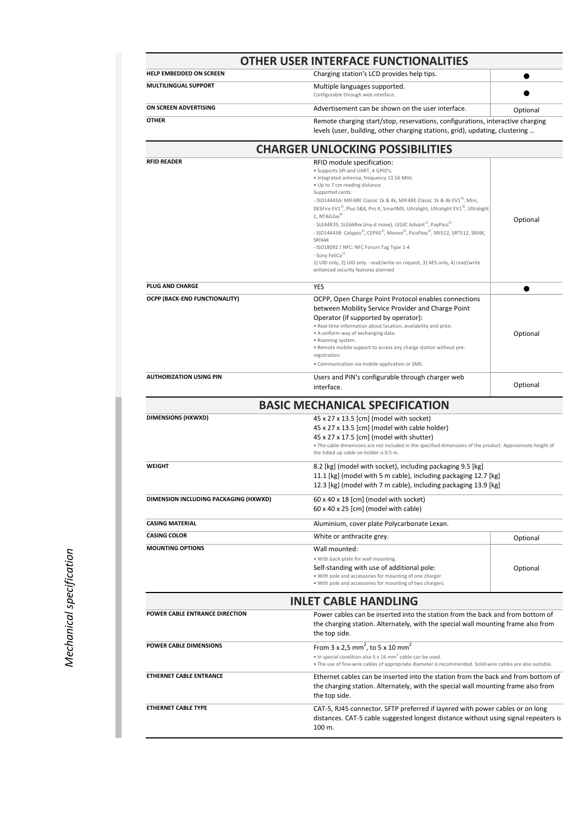| <b>OTHER USER INTERFACE FUNCTIONALITIES</b> |                                                                      |                                                                                                                                                                |  |
|---------------------------------------------|----------------------------------------------------------------------|----------------------------------------------------------------------------------------------------------------------------------------------------------------|--|
| <b>HELP EMBEDDED ON SCREEN</b>              | Charging station's LCD provides help tips.                           |                                                                                                                                                                |  |
| <b>MULTILINGUAL SUPPORT</b>                 | Multiple languages supported.<br>Configurable through web interface. |                                                                                                                                                                |  |
| ON SCREEN ADVERTISING                       | Advertisement can be shown on the user interface.                    | Optional                                                                                                                                                       |  |
| <b>OTHER</b>                                |                                                                      | Remote charging start/stop, reservations, configurations, interactive charging<br>levels (user, building, other charging stations, grid), updating, clustering |  |

| <b>RFID READER</b>                    | RFID module specification:<br>• Supports SPI and UART, 4 GPIO's.<br>· Integrated antenna, frequency 13.56 MHz.<br>• Up to 7 cm reading distance.                                                                                                                                                                                                                                                                                                                                  |          |
|---------------------------------------|-----------------------------------------------------------------------------------------------------------------------------------------------------------------------------------------------------------------------------------------------------------------------------------------------------------------------------------------------------------------------------------------------------------------------------------------------------------------------------------|----------|
|                                       | Supported cards:<br>- ISO14443A: MIFARE Classic 1k & 4k, MIFARE Classic 1k & 4k EV1 <sup>4)</sup> , Mini,<br>DESFire EV1 <sup>3</sup> , Plus S&X, Pro X, SmartMX, Ultralight, Ultralight EV1 <sup>4</sup> , Ultralight<br>C, NTAG2 $xx^{4}$<br>- SLE44R35, SLE66Rxx (my-d move), LEGIC Advant <sup>1)</sup> , PayPass <sup>2)</sup><br>- ISO14443B: Calypso <sup>2)</sup> , CEPAS <sup>2)</sup> , Moneo <sup>2)</sup> , PicoPass <sup>2)</sup> , SRI512, SRT512, SRI4K,<br>SRIX4K | Optional |
|                                       | - ISO18092 / NFC: NFC Forum Tag Type 1-4<br>- Sony FeliCa <sup>1)</sup><br>1) UID only, 2) UID only - read/write on request, 3) AES only, 4) read/write<br>enhanced security features planned                                                                                                                                                                                                                                                                                     |          |
| <b>PLUG AND CHARGE</b>                | <b>YES</b>                                                                                                                                                                                                                                                                                                                                                                                                                                                                        |          |
| <b>OCPP (BACK-END FUNCTIONALITY)</b>  | OCPP, Open Charge Point Protocol enables connections<br>between Mobility Service Provider and Charge Point<br>Operator (if supported by operator):<br>. Real-time information about location, availability and price.<br>• A uniform way of exchanging data.<br>• Roaming system.<br>. Remote mobile support to access any charge station without pre-<br>registration.<br>• Communication via mobile application or SMS.                                                         | Optional |
| <b>AUTHORIZATION USING PIN</b>        | Users and PIN's configurable through charger web<br>interface.                                                                                                                                                                                                                                                                                                                                                                                                                    | Optional |
|                                       | <b>BASIC MECHANICAL SPECIFICATION</b>                                                                                                                                                                                                                                                                                                                                                                                                                                             |          |
| <b>DIMENSIONS (HXWXD)</b>             | 45 x 27 x 13.5 [cm] (model with socket)<br>45 x 27 x 13.5 [cm] (model with cable holder)<br>45 x 27 x 17.5 [cm] (model with shutter)<br>• The cable dimensions are not included in the specified dimensions of the product. Approximate height of<br>the tidied up cable on holder is 0.5 m.                                                                                                                                                                                      |          |
| <b>WEIGHT</b>                         | 8.2 [kg] (model with socket), including packaging 9.5 [kg]<br>11.1 [kg] (model with 5 m cable), including packaging 12.7 [kg]<br>12.3 [kg] (model with 7 m cable), including packaging 13.9 [kg]                                                                                                                                                                                                                                                                                  |          |
| DIMENSION INCLUDING PACKAGING (HXWXD) | $60 \times 40 \times 18$ [cm] (model with socket)<br>$60 \times 40 \times 25$ [cm] (model with cable)                                                                                                                                                                                                                                                                                                                                                                             |          |
| <b>CASING MATERIAL</b>                | Aluminium, cover plate Polycarbonate Lexan.                                                                                                                                                                                                                                                                                                                                                                                                                                       |          |
| <b>CASING COLOR</b>                   | White or anthracite grey.                                                                                                                                                                                                                                                                                                                                                                                                                                                         | Optional |
| <b>MOUNTING OPTIONS</b>               | Wall mounted:<br>. With back-plate for wall mounting.<br>Self-standing with use of additional pole:<br>. With pole and accessories for mounting of one charger.<br>. With pole and accessories for mounting of two chargers.                                                                                                                                                                                                                                                      | Optional |
|                                       | <b>INLET CABLE HANDLING</b>                                                                                                                                                                                                                                                                                                                                                                                                                                                       |          |
| <b>POWER CABLE ENTRANCE DIRECTION</b> | Power cables can be inserted into the station from the back and from bottom of<br>the charging station. Alternately, with the special wall mounting frame also from<br>the top side.                                                                                                                                                                                                                                                                                              |          |
| <b>POWER CABLE DIMENSIONS</b>         | From $3 \times 2.5$ mm <sup>2</sup> , to $5 \times 10$ mm <sup>2</sup><br>• In special condition also 5 x 16 mm <sup>2</sup> cable can be used.<br>. The use of fine-wire cables of appropriate diameter is recommended. Solid-wire cables are also suitable.                                                                                                                                                                                                                     |          |
| <b>ETHERNET CABLE ENTRANCE</b>        | Ethernet cables can be inserted into the station from the back and from bottom of<br>the charging station. Alternately, with the special wall mounting frame also from<br>the top side.                                                                                                                                                                                                                                                                                           |          |
| <b>ETHERNET CABLE TYPE</b>            | CAT-5, RJ45 connector. SFTP preferred if layered with power cables or on long<br>distances. CAT-5 cable suggested longest distance without using signal repeaters is<br>100 m.                                                                                                                                                                                                                                                                                                    |          |

## **CHARGER UNLOCKING POSSIBILITIES**